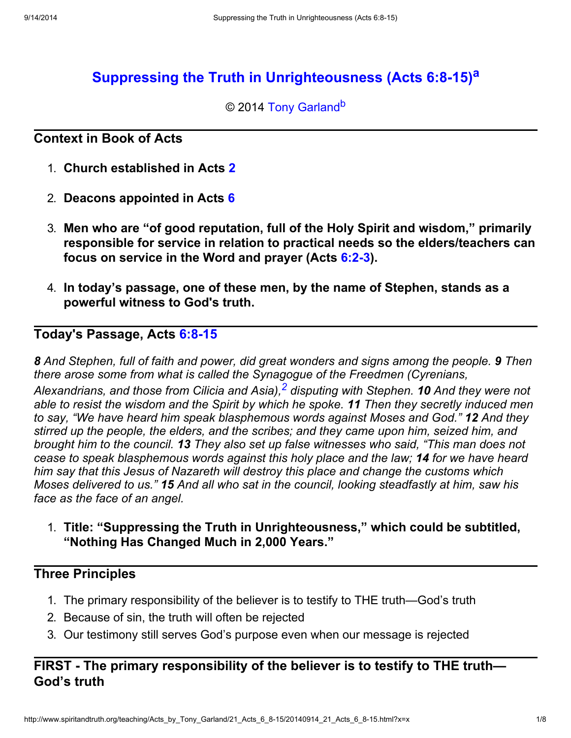# Suppressing the Truth in Unrighteousness (Acts 6:8-15)<sup>a</sup>

### © 2014 Tony Garland<sup>b</sup>

#### Context in Book of Acts

- 1. Church established in Acts 2
- 2. Deacons appointed in Acts 6
- 3. Men who are "of good reputation, full of the Holy Spirit and wisdom," primarily responsible for service in relation to practical needs so the elders/teachers can focus on service in the Word and prayer (Acts 6:2-3).
- 4. In today's passage, one of these men, by the name of Stephen, stands as a powerful witness to God's truth.

## Today's Passage, Acts 6:8-15

8 And Stephen, full of faith and power, did great wonders and signs among the people. 9 Then there arose some from what is called the Synagogue of the Freedmen (Cyrenians, Alexandrians, and those from Cilicia and Asia), $^{\mathsf{2}}$  $^{\mathsf{2}}$  $^{\mathsf{2}}$  disputing with Stephen. **10** And they were not able to resist the wisdom and the Spirit by which he spoke. 11 Then they secretly induced men to say, "We have heard him speak blasphemous words against Moses and God." 12 And they stirred up the people, the elders, and the scribes; and they came upon him, seized him, and brought him to the council. 13 They also set up false witnesses who said, "This man does not cease to speak blasphemous words against this holy place and the law; 14 for we have heard him say that this Jesus of Nazareth will destroy this place and change the customs which Moses delivered to us." 15 And all who sat in the council, looking steadfastly at him, saw his face as the face of an angel.

1. Title: "Suppressing the Truth in Unrighteousness," which could be subtitled, "Nothing Has Changed Much in 2,000 Years."

### Three Principles

- 1. The primary responsibility of the believer is to testify to THE truth—God's truth
- 2. Because of sin, the truth will often be rejected
- 3. Our testimony still serves God's purpose even when our message is rejected

## FIRST - The primary responsibility of the believer is to testify to THE truth— God's truth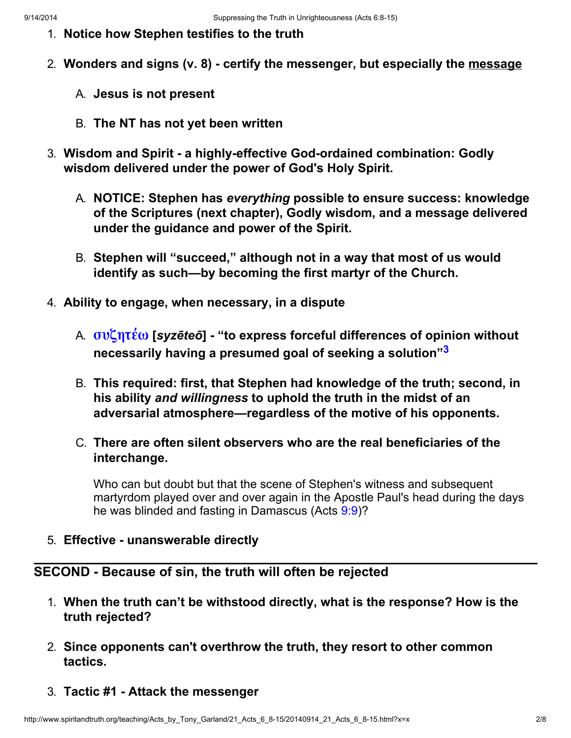- 1. Notice how Stephen testifies to the truth
- 2. Wonders and signs (v. 8) certify the messenger, but especially the message
	- A. Jesus is not present
	- B. The NT has not yet been written
- 3. Wisdom and Spirit a highly-effective God-ordained combination: Godly wisdom delivered under the power of God's Holy Spirit.
	- A. NOTICE: Stephen has everything possible to ensure success: knowledge of the Scriptures (next chapter), Godly wisdom, and a message delivered under the guidance and power of the Spirit.
	- B. Stephen will "succeed," although not in a way that most of us would identify as such—by becoming the first martyr of the Church.
- 4. Ability to engage, when necessary, in a dispute
	- A. συζητέω [syzēteō] "to express forceful differences of opinion without necessarily having a presumed goal of seeking a solution"[3](#page-7-1)
	- B. This required: first, that Stephen had knowledge of the truth; second, in his ability and willingness to uphold the truth in the midst of an adversarial atmosphere—regardless of the motive of his opponents.
	- C. There are often silent observers who are the real beneficiaries of the interchange.

Who can but doubt but that the scene of Stephen's witness and subsequent martyrdom played over and over again in the Apostle Paul's head during the days he was blinded and fasting in Damascus (Acts 9:9)?

5. Effective - unanswerable directly

#### SECOND - Because of sin, the truth will often be rejected

- 1. When the truth can't be withstood directly, what is the response? How is the truth rejected?
- 2. Since opponents can't overthrow the truth, they resort to other common tactics.
- 3. Tactic #1 Attack the messenger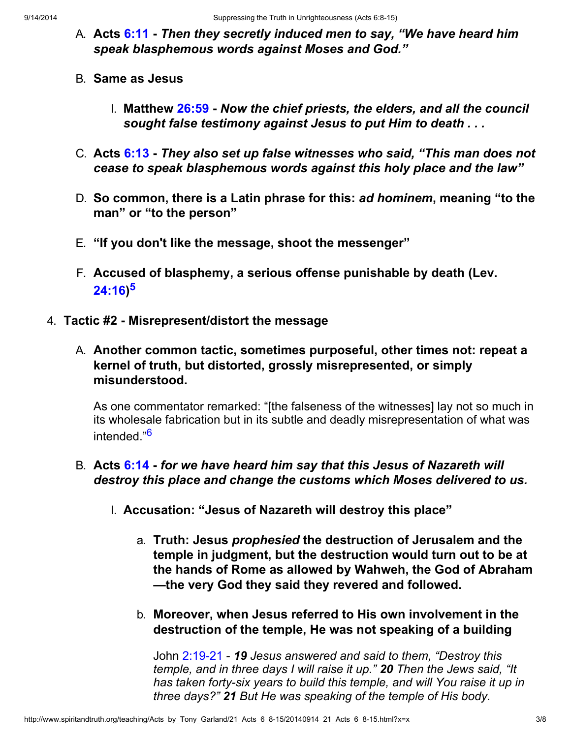- A. Acts 6:11 Then they secretly induced men to say, "We have heard him speak blasphemous words against Moses and God."
- B. Same as Jesus
	- I. Matthew 26:59 Now the chief priests, the elders, and all the council sought false testimony against Jesus to put Him to death . . .
- C. Acts 6:13 They also set up false witnesses who said, "This man does not cease to speak blasphemous words against this holy place and the law"
- D. So common, there is a Latin phrase for this: ad hominem, meaning "to the man" or "to the person"
- E. "If you don't like the message, shoot the messenger"
- F. Accused of blasphemy, a serious offense punishable by death (Lev. 24:16) [5](#page-7-2)
- 4. Tactic #2 Misrepresent/distort the message
	- A. Another common tactic, sometimes purposeful, other times not: repeat a kernel of truth, but distorted, grossly misrepresented, or simply misunderstood.

As one commentator remarked: "[the falseness of the witnesses] lay not so much in its wholesale fabrication but in its subtle and deadly misrepresentation of what was intended."[6](#page-7-3)

### B. Acts 6:14 - for we have heard him say that this Jesus of Nazareth will destroy this place and change the customs which Moses delivered to us.

- I. Accusation: "Jesus of Nazareth will destroy this place"
	- a. Truth: Jesus prophesied the destruction of Jerusalem and the temple in judgment, but the destruction would turn out to be at the hands of Rome as allowed by Wahweh, the God of Abraham —the very God they said they revered and followed.
	- b. Moreover, when Jesus referred to His own involvement in the destruction of the temple, He was not speaking of a building

John 2:19-21 - 19 Jesus answered and said to them, "Destroy this temple, and in three days I will raise it up." 20 Then the Jews said, "It has taken forty-six years to build this temple, and will You raise it up in three days?" 21 But He was speaking of the temple of His body.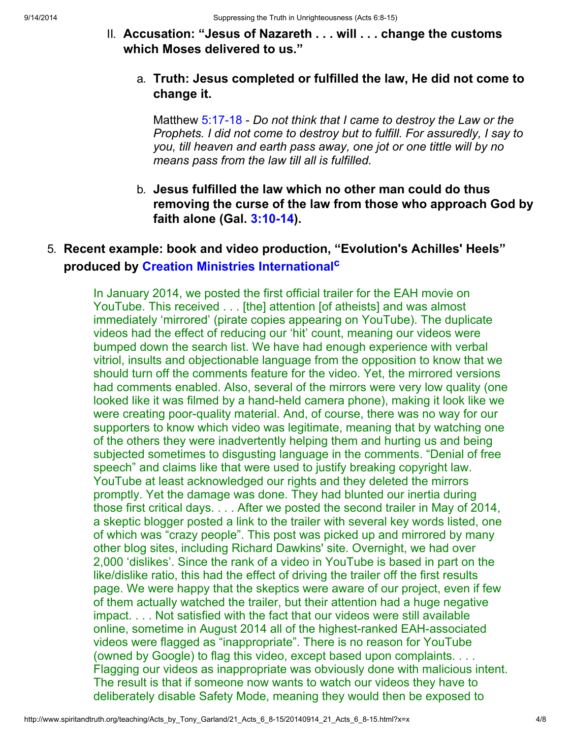II. Accusation: "Jesus of Nazareth . . . will . . . change the customs which Moses delivered to us."

### a. Truth: Jesus completed or fulfilled the law, He did not come to change it.

Matthew 5:17-18 - Do not think that I came to destroy the Law or the Prophets. I did not come to destroy but to fulfill. For assuredly, I say to you, till heaven and earth pass away, one jot or one tittle will by no means pass from the law till all is fulfilled.

b. Jesus fulfilled the law which no other man could do thus removing the curse of the law from those who approach God by faith alone (Gal. 3:10-14).

# 5. Recent example: book and video production, "Evolution's Achilles' Heels" produced by Creation Ministries International<sup>c</sup>

In January 2014, we posted the first official trailer for the EAH movie on YouTube. This received . . . [the] attention [of atheists] and was almost immediately 'mirrored' (pirate copies appearing on YouTube). The duplicate videos had the effect of reducing our 'hit' count, meaning our videos were bumped down the search list. We have had enough experience with verbal vitriol, insults and objectionable language from the opposition to know that we should turn off the comments feature for the video. Yet, the mirrored versions had comments enabled. Also, several of the mirrors were very low quality (one looked like it was filmed by a hand-held camera phone), making it look like we were creating poor-quality material. And, of course, there was no way for our supporters to know which video was legitimate, meaning that by watching one of the others they were inadvertently helping them and hurting us and being subjected sometimes to disgusting language in the comments. "Denial of free speech" and claims like that were used to justify breaking copyright law. YouTube at least acknowledged our rights and they deleted the mirrors promptly. Yet the damage was done. They had blunted our inertia during those first critical days. . . . After we posted the second trailer in May of 2014, a skeptic blogger posted a link to the trailer with several key words listed, one of which was "crazy people". This post was picked up and mirrored by many other blog sites, including Richard Dawkins' site. Overnight, we had over 2,000 'dislikes'. Since the rank of a video in YouTube is based in part on the like/dislike ratio, this had the effect of driving the trailer off the first results page. We were happy that the skeptics were aware of our project, even if few of them actually watched the trailer, but their attention had a huge negative impact. . . . Not satisfied with the fact that our videos were still available online, sometime in August 2014 all of the highest-ranked EAH-associated videos were flagged as "inappropriate". There is no reason for YouTube (owned by Google) to flag this video, except based upon complaints. . . . Flagging our videos as inappropriate was obviously done with malicious intent. The result is that if someone now wants to watch our videos they have to deliberately disable Safety Mode, meaning they would then be exposed to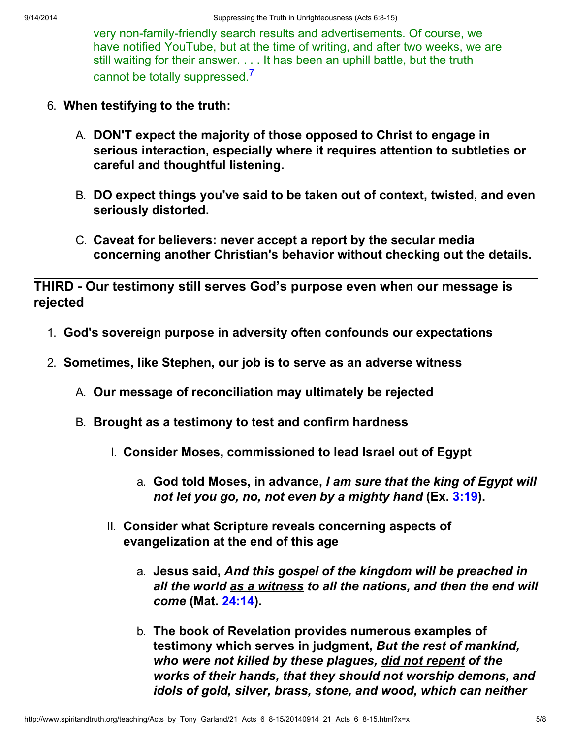very non-family-friendly search results and advertisements. Of course, we have notified YouTube, but at the time of writing, and after two weeks, we are still waiting for their answer. . . . It has been an uphill battle, but the truth cannot be totally suppressed.[7](#page-7-4)

- 6. When testifying to the truth:
	- A. DON'T expect the majority of those opposed to Christ to engage in serious interaction, especially where it requires attention to subtleties or careful and thoughtful listening.
	- B. DO expect things you've said to be taken out of context, twisted, and even seriously distorted.
	- C. Caveat for believers: never accept a report by the secular media concerning another Christian's behavior without checking out the details.

THIRD - Our testimony still serves God's purpose even when our message is rejected

- 1. God's sovereign purpose in adversity often confounds our expectations
- 2. Sometimes, like Stephen, our job is to serve as an adverse witness
	- A. Our message of reconciliation may ultimately be rejected
	- B. Brought as a testimony to test and confirm hardness
		- I. Consider Moses, commissioned to lead Israel out of Egypt
			- a. God told Moses, in advance, I am sure that the king of Egypt will not let you go, no, not even by a mighty hand (Ex. 3:19).
		- II. Consider what Scripture reveals concerning aspects of evangelization at the end of this age
			- a. Jesus said, And this gospel of the kingdom will be preached in all the world as a witness to all the nations, and then the end will come (Mat. 24:14).
			- b. The book of Revelation provides numerous examples of testimony which serves in judgment, But the rest of mankind, who were not killed by these plagues, did not repent of the works of their hands, that they should not worship demons, and idols of gold, silver, brass, stone, and wood, which can neither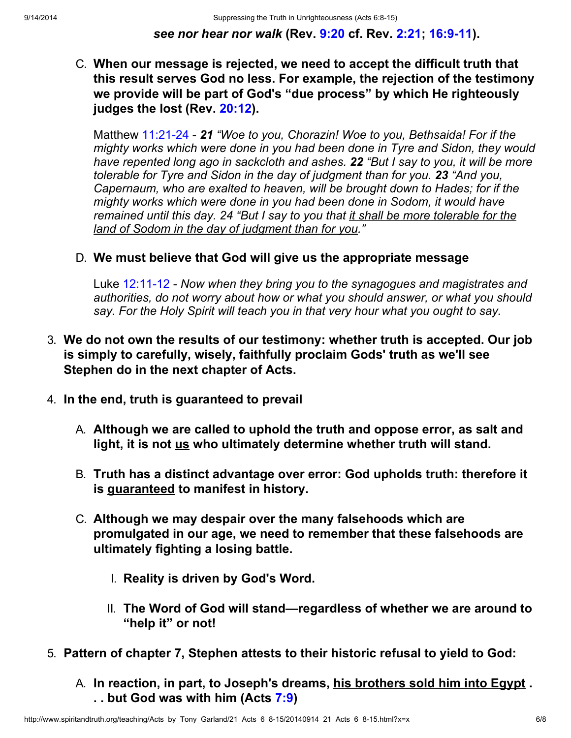see nor hear nor walk (Rev. 9:20 cf. Rev. 2:21; 16:9-11).

C. When our message is rejected, we need to accept the difficult truth that this result serves God no less. For example, the rejection of the testimony we provide will be part of God's "due process" by which He righteously judges the lost (Rev. 20:12).

Matthew 11:21-24 - 21 "Woe to you, Chorazin! Woe to you, Bethsaida! For if the mighty works which were done in you had been done in Tyre and Sidon, they would have repented long ago in sackcloth and ashes. 22 "But I say to you, it will be more tolerable for Tyre and Sidon in the day of judgment than for you. 23 "And you, Capernaum, who are exalted to heaven, will be brought down to Hades; for if the mighty works which were done in you had been done in Sodom, it would have remained until this day. 24 "But I say to you that it shall be more tolerable for the land of Sodom in the day of judgment than for you."

### D. We must believe that God will give us the appropriate message

Luke 12:11-12 - Now when they bring you to the synagogues and magistrates and authorities, do not worry about how or what you should answer, or what you should say. For the Holy Spirit will teach you in that very hour what you ought to say.

- 3. We do not own the results of our testimony: whether truth is accepted. Our job is simply to carefully, wisely, faithfully proclaim Gods' truth as we'll see Stephen do in the next chapter of Acts.
- 4. In the end, truth is guaranteed to prevail
	- A. Although we are called to uphold the truth and oppose error, as salt and light, it is not us who ultimately determine whether truth will stand.
	- B. Truth has a distinct advantage over error: God upholds truth: therefore it is guaranteed to manifest in history.
	- C. Although we may despair over the many falsehoods which are promulgated in our age, we need to remember that these falsehoods are ultimately fighting a losing battle.
		- I. Reality is driven by God's Word.
		- II. The Word of God will stand—regardless of whether we are around to "help it" or not!
- 5. Pattern of chapter 7, Stephen attests to their historic refusal to yield to God:
	- A. In reaction, in part, to Joseph's dreams, his brothers sold him into Egypt. . . but God was with him (Acts 7:9)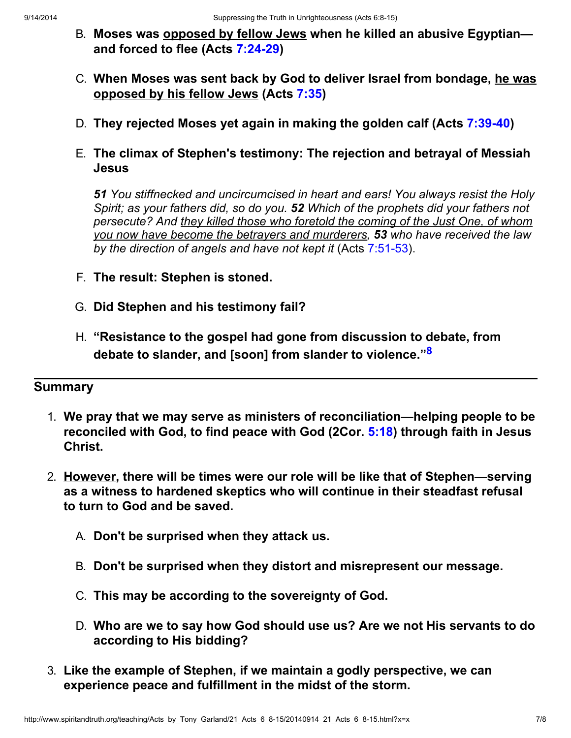- B. Moses was opposed by fellow Jews when he killed an abusive Egyptian and forced to flee (Acts 7:24-29)
- C. When Moses was sent back by God to deliver Israel from bondage, he was opposed by his fellow Jews (Acts 7:35)
- D. They rejected Moses yet again in making the golden calf (Acts 7:39-40)
- E. The climax of Stephen's testimony: The rejection and betrayal of Messiah Jesus

51 You stiffnecked and uncircumcised in heart and ears! You always resist the Holy Spirit; as your fathers did, so do you. 52 Which of the prophets did your fathers not persecute? And they killed those who foretold the coming of the Just One, of whom you now have become the betrayers and murderers, 53 who have received the law by the direction of angels and have not kept it (Acts 7:51-53).

- F. The result: Stephen is stoned.
- G. Did Stephen and his testimony fail?
- H. "Resistance to the gospel had gone from discussion to debate, from debate to slander, and [soon] from slander to violence."<sup>[8](#page-7-5)</sup>

# **Summary**

- 1. We pray that we may serve as ministers of reconciliation—helping people to be reconciled with God, to find peace with God (2Cor. 5:18) through faith in Jesus Christ.
- 2. However, there will be times were our role will be like that of Stephen—serving as a witness to hardened skeptics who will continue in their steadfast refusal to turn to God and be saved.
	- A. Don't be surprised when they attack us.
	- B. Don't be surprised when they distort and misrepresent our message.
	- C. This may be according to the sovereignty of God.
	- D. Who are we to say how God should use us? Are we not His servants to do according to His bidding?
- 3. Like the example of Stephen, if we maintain a godly perspective, we can experience peace and fulfillment in the midst of the storm.